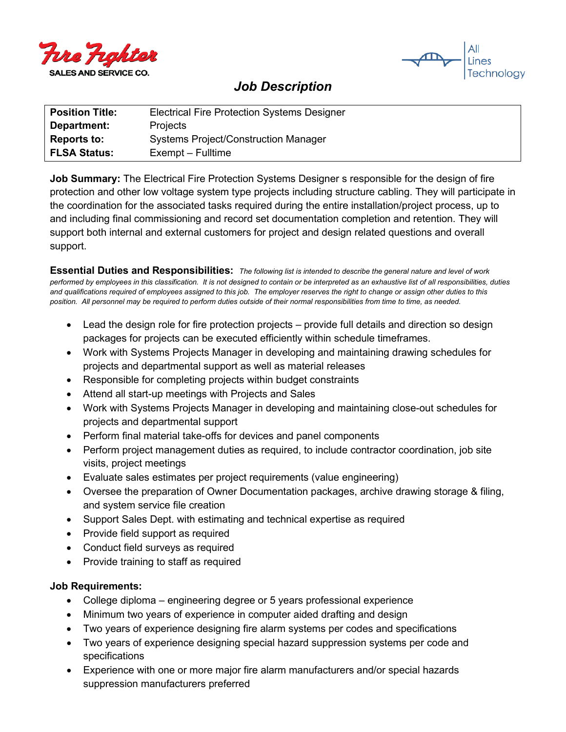



## *Job Description*

| <b>Position Title:</b> | <b>Electrical Fire Protection Systems Designer</b> |
|------------------------|----------------------------------------------------|
| Department:            | <b>Projects</b>                                    |
| <b>Reports to:</b>     | <b>Systems Project/Construction Manager</b>        |
| <b>FLSA Status:</b>    | Exempt – Fulltime                                  |

**Job Summary:** The Electrical Fire Protection Systems Designer s responsible for the design of fire protection and other low voltage system type projects including structure cabling. They will participate in the coordination for the associated tasks required during the entire installation/project process, up to and including final commissioning and record set documentation completion and retention. They will support both internal and external customers for project and design related questions and overall support.

**Essential Duties and Responsibilities:** *The following list is intended to describe the general nature and level of work performed by employees in this classification. It is not designed to contain or be interpreted as an exhaustive list of all responsibilities, duties and qualifications required of employees assigned to this job. The employer reserves the right to change or assign other duties to this position. All personnel may be required to perform duties outside of their normal responsibilities from time to time, as needed.*

- Lead the design role for fire protection projects provide full details and direction so design packages for projects can be executed efficiently within schedule timeframes.
- Work with Systems Projects Manager in developing and maintaining drawing schedules for projects and departmental support as well as material releases
- Responsible for completing projects within budget constraints
- Attend all start-up meetings with Projects and Sales
- Work with Systems Projects Manager in developing and maintaining close-out schedules for projects and departmental support
- Perform final material take-offs for devices and panel components
- Perform project management duties as required, to include contractor coordination, job site visits, project meetings
- Evaluate sales estimates per project requirements (value engineering)
- Oversee the preparation of Owner Documentation packages, archive drawing storage & filing, and system service file creation
- Support Sales Dept. with estimating and technical expertise as required
- Provide field support as required
- Conduct field surveys as required
- Provide training to staff as required

## **Job Requirements:**

- College diploma engineering degree or 5 years professional experience
- Minimum two years of experience in computer aided drafting and design
- Two years of experience designing fire alarm systems per codes and specifications
- Two years of experience designing special hazard suppression systems per code and specifications
- Experience with one or more major fire alarm manufacturers and/or special hazards suppression manufacturers preferred